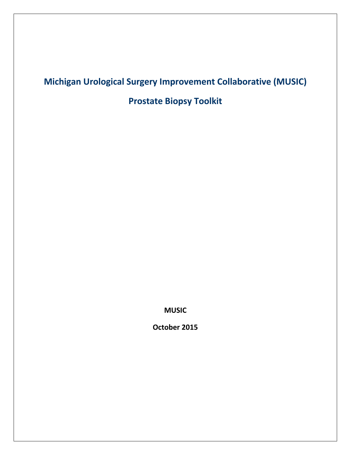# **Michigan Urological Surgery Improvement Collaborative (MUSIC)**

**Prostate Biopsy Toolkit**

**MUSIC**

**October 2015**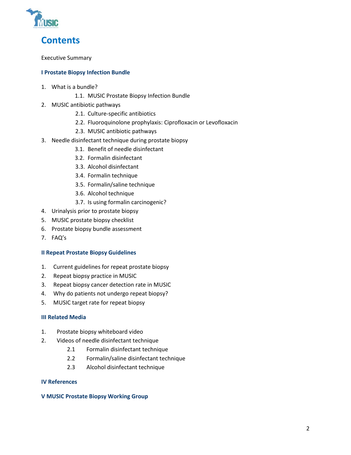

**Contents**

Executive Summary

#### **I Prostate Biopsy Infection Bundle**

- 1. What is a bundle?
	- 1.1. MUSIC Prostate Biopsy Infection Bundle
- 2. MUSIC antibiotic pathways
	- 2.1. Culture-specific antibiotics
	- 2.2. Fluoroquinolone prophylaxis: Ciprofloxacin or Levofloxacin
	- 2.3. MUSIC antibiotic pathways
- 3. Needle disinfectant technique during prostate biopsy
	- 3.1. Benefit of needle disinfectant
	- 3.2. Formalin disinfectant
	- 3.3. Alcohol disinfectant
	- 3.4. Formalin technique
	- 3.5. Formalin/saline technique
	- 3.6. Alcohol technique
	- 3.7. Is using formalin carcinogenic?
- 4. Urinalysis prior to prostate biopsy
- 5. MUSIC prostate biopsy checklist
- 6. Prostate biopsy bundle assessment
- 7. FAQ's

#### **II Repeat Prostate Biopsy Guidelines**

- 1. Current guidelines for repeat prostate biopsy
- 2. Repeat biopsy practice in MUSIC
- 3. Repeat biopsy cancer detection rate in MUSIC
- 4. Why do patients not undergo repeat biopsy?
- 5. MUSIC target rate for repeat biopsy

#### **III Related Media**

- 1. Prostate biopsy whiteboard video
- 2. Videos of needle disinfectant technique
	- 2.1 Formalin disinfectant technique
	- 2.2 Formalin/saline disinfectant technique
	- 2.3 Alcohol disinfectant technique

#### **IV References**

#### **V MUSIC Prostate Biopsy Working Group**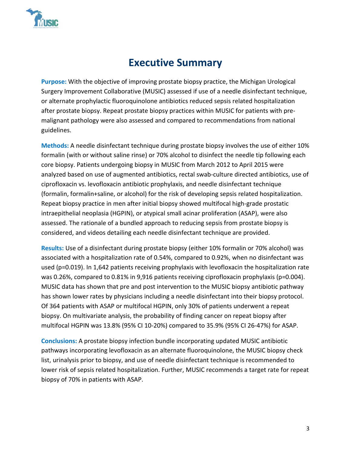

# **Executive Summary**

**Purpose:** With the objective of improving prostate biopsy practice, the Michigan Urological Surgery Improvement Collaborative (MUSIC) assessed if use of a needle disinfectant technique, or alternate prophylactic fluoroquinolone antibiotics reduced sepsis related hospitalization after prostate biopsy. Repeat prostate biopsy practices within MUSIC for patients with premalignant pathology were also assessed and compared to recommendations from national guidelines.

**Methods:** A needle disinfectant technique during prostate biopsy involves the use of either 10% formalin (with or without saline rinse) or 70% alcohol to disinfect the needle tip following each core biopsy. Patients undergoing biopsy in MUSIC from March 2012 to April 2015 were analyzed based on use of augmented antibiotics, rectal swab-culture directed antibiotics, use of ciprofloxacin vs. levofloxacin antibiotic prophylaxis, and needle disinfectant technique (formalin, formalin+saline, or alcohol) for the risk of developing sepsis related hospitalization. Repeat biopsy practice in men after initial biopsy showed multifocal high-grade prostatic intraepithelial neoplasia (HGPIN), or atypical small acinar proliferation (ASAP), were also assessed. The rationale of a bundled approach to reducing sepsis from prostate biopsy is considered, and videos detailing each needle disinfectant technique are provided.

**Results:** Use of a disinfectant during prostate biopsy (either 10% formalin or 70% alcohol) was associated with a hospitalization rate of 0.54%, compared to 0.92%, when no disinfectant was used (p=0.019). In 1,642 patients receiving prophylaxis with levofloxacin the hospitalization rate was 0.26%, compared to 0.81% in 9,916 patients receiving ciprofloxacin prophylaxis (p=0.004). MUSIC data has shown that pre and post intervention to the MUSIC biopsy antibiotic pathway has shown lower rates by physicians including a needle disinfectant into their biopsy protocol. Of 364 patients with ASAP or multifocal HGPIN, only 30% of patients underwent a repeat biopsy. On multivariate analysis, the probability of finding cancer on repeat biopsy after multifocal HGPIN was 13.8% (95% CI 10-20%) compared to 35.9% (95% CI 26-47%) for ASAP.

**Conclusions:** A prostate biopsy infection bundle incorporating updated MUSIC antibiotic pathways incorporating levofloxacin as an alternate fluoroquinolone, the MUSIC biopsy check list, urinalysis prior to biopsy, and use of needle disinfectant technique is recommended to lower risk of sepsis related hospitalization. Further, MUSIC recommends a target rate for repeat biopsy of 70% in patients with ASAP.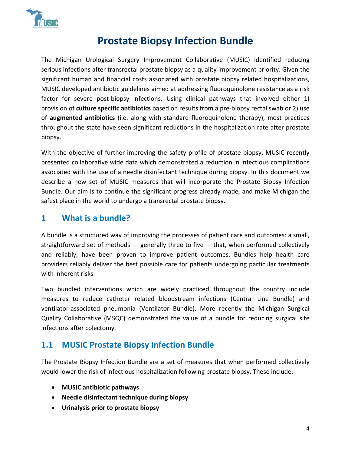

# **Prostate Biopsy Infection Bundle**

The Michigan Urological Surgery Improvement Collaborative (MUSIC) identified reducing serious infections after transrectal prostate biopsy as a quality improvement priority. Given the significant human and financial costs associated with prostate biopsy related hospitalizations, MUSIC developed antibiotic guidelines aimed at addressing fluoroquinolone resistance as a risk factor for severe post-biopsy infections. Using clinical pathways that involved either 1) provision of **culture specific antibiotics** based on results from a pre-biopsy rectal swab or 2) use of **augmented antibiotics** (i.e. along with standard fluoroquinolone therapy), most practices throughout the state have seen significant reductions in the hospitalization rate after prostate biopsy.

With the objective of further improving the safety profile of prostate biopsy, MUSIC recently presented collaborative wide data which demonstrated a reduction in infectious complications associated with the use of a needle disinfectant technique during biopsy. In this document we describe a new set of MUSIC measures that will incorporate the Prostate Biopsy Infection Bundle. Our aim is to continue the significant progress already made, and make Michigan the safest place in the world to undergo a transrectal prostate biopsy.

### **1 What is a bundle?**

A bundle is a structured way of improving the processes of patient care and outcomes: a small, straightforward set of methods  $-$  generally three to five  $-$  that, when performed collectively and reliably, have been proven to improve patient outcomes. Bundles help health care providers reliably deliver the best possible care for patients undergoing particular treatments with inherent risks.

Two bundled interventions which are widely practiced throughout the country include measures to reduce catheter related bloodstream infections (Central Line Bundle) and ventilator-associated pneumonia (Ventilator Bundle). More recently the Michigan Surgical Quality Collaborative (MSQC) demonstrated the value of a bundle for reducing surgical site infections after colectomy.

### **1.1 MUSIC Prostate Biopsy Infection Bundle**

The Prostate Biopsy Infection Bundle are a set of measures that when performed collectively would lower the risk of infectious hospitalization following prostate biopsy. These include:

- **MUSIC antibiotic pathways**
- **Needle disinfectant technique during biopsy**
- **Urinalysis prior to prostate biopsy**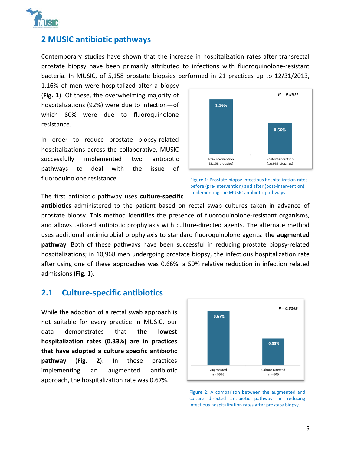

#### **2 MUSIC antibiotic pathways**

Contemporary studies have shown that the increase in hospitalization rates after transrectal prostate biopsy have been primarily attributed to infections with fluoroquinolone-resistant bacteria. In MUSIC, of 5,158 prostate biopsies performed in 21 practices up to 12/31/2013,

1.16% of men were hospitalized after a biopsy (**Fig. 1**). Of these, the overwhelming majority of hospitalizations (92%) were due to infection—of which 80% were due to fluoroquinolone resistance.

In order to reduce prostate biopsy-related hospitalizations across the collaborative, MUSIC successfully implemented two antibiotic pathways to deal with the issue of fluoroquinolone resistance.



Figure 1: Prostate biopsy infectious hospitalization rates before (pre-intervention) and after (post-intervention) implementing the MUSIC antibiotic pathways.

The first antibiotic pathway uses **culture-specific** 

**antibiotics** administered to the patient based on rectal swab cultures taken in advance of prostate biopsy. This method identifies the presence of fluoroquinolone-resistant organisms, and allows tailored antibiotic prophylaxis with culture-directed agents. The alternate method uses additional antimicrobial prophylaxis to standard fluoroquinolone agents: **the augmented pathway**. Both of these pathways have been successful in reducing prostate biopsy-related hospitalizations; in 10,968 men undergoing prostate biopsy, the infectious hospitalization rate after using one of these approaches was 0.66%: a 50% relative reduction in infection related admissions (**Fig. 1**).

#### **2.1 Culture-specific antibiotics**

While the adoption of a rectal swab approach is not suitable for every practice in MUSIC, our data demonstrates that **the lowest hospitalization rates (0.33%) are in practices that have adopted a culture specific antibiotic pathway** (**Fig. 2**). In those practices implementing an augmented antibiotic approach, the hospitalization rate was 0.67%.



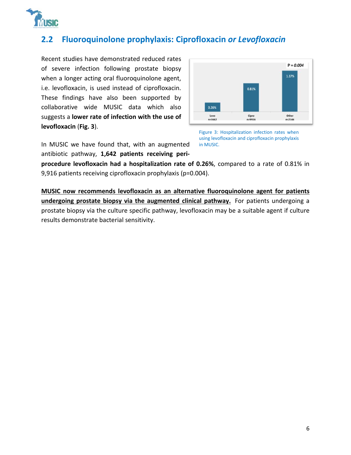

## **2.2 Fluoroquinolone prophylaxis: Ciprofloxacin** *or Levofloxacin*

Recent studies have demonstrated reduced rates of severe infection following prostate biopsy when a longer acting oral fluoroquinolone agent, i.e. levofloxacin, is used instead of ciprofloxacin. These findings have also been supported by collaborative wide MUSIC data which also suggests a **lower rate of infection with the use of levofloxacin** (**Fig. 3**).



In MUSIC we have found that, with an augmented antibiotic pathway, **1,642 patients receiving peri-** Figure 3: Hospitalization infection rates when using levofloxacin and ciprofloxacin prophylaxis in MUSIC.

**procedure levofloxacin had a hospitalization rate of 0.26%**, compared to a rate of 0.81% in 9,916 patients receiving ciprofloxacin prophylaxis (p=0.004).

**MUSIC now recommends levofloxacin as an alternative fluoroquinolone agent for patients undergoing prostate biopsy via the augmented clinical pathway.** For patients undergoing a prostate biopsy via the culture specific pathway, levofloxacin may be a suitable agent if culture results demonstrate bacterial sensitivity.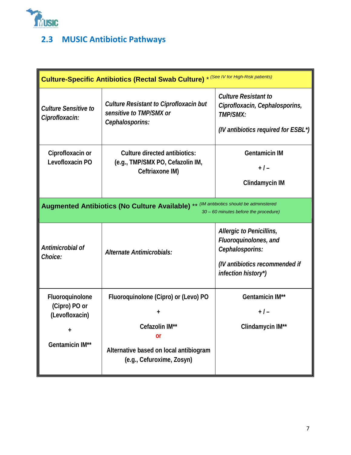

## **2.3 MUSIC Antibiotic Pathways**

| Culture-Specific Antibiotics (Rectal Swab Culture) * (See IV for High-Risk patients)                                                      |                                                                                                                                            |                                                                                                                               |  |  |
|-------------------------------------------------------------------------------------------------------------------------------------------|--------------------------------------------------------------------------------------------------------------------------------------------|-------------------------------------------------------------------------------------------------------------------------------|--|--|
| <b>Culture Sensitive to</b><br>Ciprofloxacin:                                                                                             | <b>Culture Resistant to Ciprofloxacin but</b><br>sensitive to TMP/SMX or<br>Cephalosporins:                                                | <b>Culture Resistant to</b><br>Ciprofloxacin, Cephalosporins,<br>TMP/SMX:<br>(IV antibiotics required for ESBL*)              |  |  |
| Ciprofloxacin or<br>Levofloxacin PO                                                                                                       | Culture directed antibiotics:<br>(e.g., TMP/SMX PO, Cefazolin IM,<br>Ceftriaxone IM)                                                       | <b>Gentamicin IM</b><br>$+$ / $-$<br>Clindamycin IM                                                                           |  |  |
| ** (IM antibiotics should be administered<br><b>Augmented Antibiotics (No Culture Available)</b><br>30 - 60 minutes before the procedure) |                                                                                                                                            |                                                                                                                               |  |  |
| Antimicrobial of<br>Choice:                                                                                                               | Alternate Antimicrobials:                                                                                                                  | Allergic to Penicillins,<br>Fluoroquinolones, and<br>Cephalosporins:<br>(IV antibiotics recommended if<br>infection history*) |  |  |
| Fluoroquinolone<br>(Cipro) PO or<br>(Levofloxacin)<br>$\ddagger$<br><b>Gentamicin IM**</b>                                                | Fluoroquinolone (Cipro) or (Levo) PO<br>Cefazolin IM**<br><b>or</b><br>Alternative based on local antibiogram<br>(e.g., Cefuroxime, Zosyn) | <b>Gentamicin IM**</b><br>$+1-$<br>Clindamycin IM**                                                                           |  |  |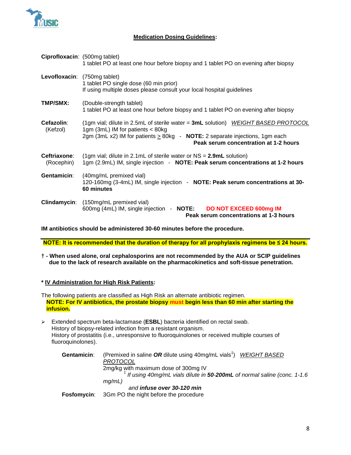

#### **Medication Dosing Guidelines:**

|                                   | Ciprofloxacin: (500mg tablet)<br>1 tablet PO at least one hour before biopsy and 1 tablet PO on evening after biopsy                                                                                                                             |  |
|-----------------------------------|--------------------------------------------------------------------------------------------------------------------------------------------------------------------------------------------------------------------------------------------------|--|
| Levofloxacin: (750mg tablet)      | 1 tablet PO single dose (60 min prior)<br>If using multiple doses please consult your local hospital guidelines                                                                                                                                  |  |
| TMP/SMX:                          | (Double-strength tablet)<br>1 tablet PO at least one hour before biopsy and 1 tablet PO on evening after biopsy                                                                                                                                  |  |
| Cefazolin:<br>(Kefzol)            | (1gm vial; dilute in 2.5mL of sterile water = 3mL solution) WEIGHT BASED PROTOCOL<br>1gm (3mL) IM for patients < 80kg<br>2gm (3mL x2) IM for patients $> 80$ kg - NOTE: 2 separate injections, 1gm each<br>Peak serum concentration at 1-2 hours |  |
| <b>Ceftriaxone:</b><br>(Rocephin) | (1gm vial; dilute in 2.1mL of sterile water or $NS = 2.9mL$ solution)<br>1gm (2.9mL) IM, single injection - NOTE: Peak serum concentrations at 1-2 hours                                                                                         |  |
| Gentamicin:                       | (40mg/mL premixed vial)<br>120-160mg (3-4mL) IM, single injection - NOTE: Peak serum concentrations at 30-<br>60 minutes                                                                                                                         |  |
|                                   | Clindamycin: (150mg/mL premixed vial)<br>600mg (4mL) IM, single injection - <b>NOTE:</b><br>DO NOT EXCEED 600mg IM<br>Peak serum concentrations at 1-3 hours                                                                                     |  |

**IM antibiotics should be administered 30-60 minutes before the procedure.** 

**NOTE: It is recommended that the duration of therapy for all prophylaxis regimens be ≤ 24 hours.**

**† - When used alone, oral cephalosporins are not recommended by the AUA or SCIP guidelines due to the lack of research available on the pharmacokinetics and soft-tissue penetration.** 

#### **\* IV Administration for High Risk Patients:**

The following patients are classified as High Risk an alternate antibiotic regimen. **NOTE: For IV antibiotics, the prostate biopsy must begin less than 60 min after starting the infusion.**

 Extended spectrum beta-lactamase (**ESBL**) bacteria identified on rectal swab. History of biopsy-related infection from a resistant organism. History of prostatitis (i.e., unresponsive to fluoroquinolones or received multiple courses of fluoroquinolones).

| Gentamicin: | (Premixed in saline OR dilute using $40$ mg/mL vials <sup><math>\dagger</math></sup> ) WEIGHT BASED<br>PROTOCOL |
|-------------|-----------------------------------------------------------------------------------------------------------------|
|             | 2mg/kg with maximum dose of 300mg IV                                                                            |
|             | $‡$ If using 40mg/mL vials dilute in 50-200mL of normal saline (conc. 1-1.6                                     |
|             | mq/mL)                                                                                                          |
|             | and infuse over 30-120 min                                                                                      |
| Fosfomycin: | 3Gm PO the night before the procedure                                                                           |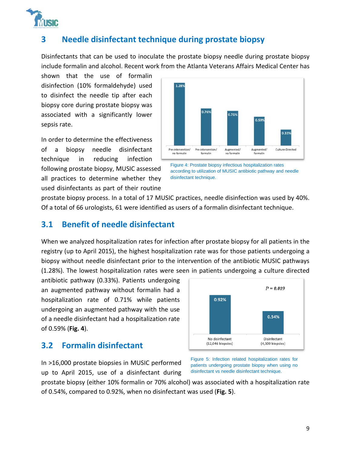

### **3 Needle disinfectant technique during prostate biopsy**

Disinfectants that can be used to inoculate the prostate biopsy needle during prostate biopsy include formalin and alcohol. Recent work from the Atlanta Veterans Affairs Medical Center has

shown that the use of formalin disinfection (10% formaldehyde) used to disinfect the needle tip after each biopsy core during prostate biopsy was associated with a significantly lower sepsis rate.

In order to determine the effectiveness of a biopsy needle disinfectant technique in reducing infection following prostate biopsy, MUSIC assessed all practices to determine whether they used disinfectants as part of their routine



Figure 4: Prostate biopsy infectious hospitalization rates according to utilization of MUSIC antibiotic pathway and needle disinfectant technique.

prostate biopsy process. In a total of 17 MUSIC practices, needle disinfection was used by 40%. Of a total of 66 urologists, 61 were identified as users of a formalin disinfectant technique.

#### **3.1 Benefit of needle disinfectant**

When we analyzed hospitalization rates for infection after prostate biopsy for all patients in the registry (up to April 2015), the highest hospitalization rate was for those patients undergoing a biopsy without needle disinfectant prior to the intervention of the antibiotic MUSIC pathways (1.28%). The lowest hospitalization rates were seen in patients undergoing a culture directed

antibiotic pathway (0.33%). Patients undergoing an augmented pathway without formalin had a hospitalization rate of 0.71% while patients undergoing an augmented pathway with the use of a needle disinfectant had a hospitalization rate of 0.59% (**Fig. 4**).

#### **3.2 Formalin disinfectant**



 $P = 0.019$ 

In >16,000 prostate biopsies in MUSIC performed up to April 2015, use of a disinfectant during Figure 5: Infection related hospitalization rates for patients undergoing prostate biopsy when using no disinfectant vs needle disinfectant technique.

prostate biopsy (either 10% formalin or 70% alcohol) was associated with a hospitalization rate of 0.54%, compared to 0.92%, when no disinfectant was used (**Fig. 5**).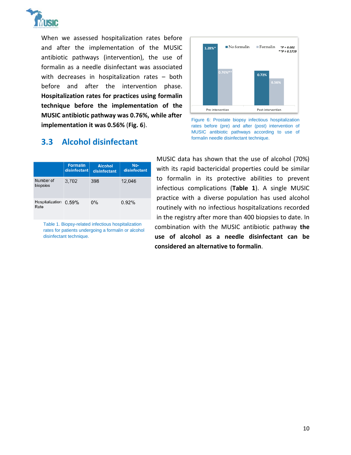

When we assessed hospitalization rates before and after the implementation of the MUSIC antibiotic pathways (intervention), the use of formalin as a needle disinfectant was associated with decreases in hospitalization rates – both before and after the intervention phase. **Hospitalization rates for practices using formalin technique before the implementation of the MUSIC antibiotic pathway was 0.76%, while after implementation it was 0.56%** (**Fig. 6**).



|                         | <b>Formalin</b><br>disinfectant | <b>Alcohol</b><br>disinfectant | No-<br>disinfectant |
|-------------------------|---------------------------------|--------------------------------|---------------------|
| Number of<br>biopsies   | 3,702                           | 398                            | 12.046              |
| Hospitalization<br>Rate | 0.59%                           | $0\%$                          | 0.92%               |

Table 1. Biopsy-related infectious hospitalization rates for patients undergoing a formalin or alcohol disinfectant technique.



Figure 6: Prostate biopsy infectious hospitalization rates before (pre) and after (post) intervention of MUSIC antibiotic pathways according to use of formalin needle disinfectant technique.

MUSIC data has shown that the use of alcohol (70%) with its rapid bactericidal properties could be similar to formalin in its protective abilities to prevent infectious complications (**Table 1**). A single MUSIC practice with a diverse population has used alcohol routinely with no infectious hospitalizations recorded in the registry after more than 400 biopsies to date. In combination with the MUSIC antibiotic pathway **the use of alcohol as a needle disinfectant can be considered an alternative to formalin**.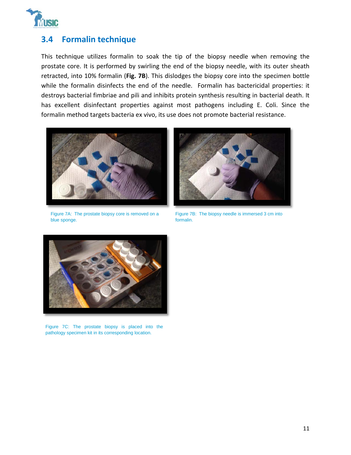

#### **3.4 Formalin technique**

This technique utilizes formalin to soak the tip of the biopsy needle when removing the prostate core. It is performed by swirling the end of the biopsy needle, with its outer sheath retracted, into 10% formalin (**Fig. 7B**). This dislodges the biopsy core into the specimen bottle while the formalin disinfects the end of the needle. Formalin has bactericidal properties: it destroys bacterial fimbriae and pili and inhibits protein synthesis resulting in bacterial death. It has excellent disinfectant properties against most pathogens including E. Coli. Since the formalin method targets bacteria ex vivo, its use does not promote bacterial resistance.



Figure 7A: The prostate biopsy core is removed on a blue sponge.



Figure 7B: The biopsy needle is immersed 3 cm into formalin.



Figure 7C: The prostate biopsy is placed into the pathology specimen kit in its corresponding location.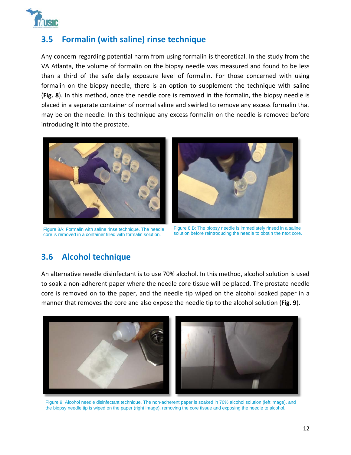

### **3.5 Formalin (with saline) rinse technique**

Any concern regarding potential harm from using formalin is theoretical. In the study from the VA Atlanta, the volume of formalin on the biopsy needle was measured and found to be less than a third of the safe daily exposure level of formalin. For those concerned with using formalin on the biopsy needle, there is an option to supplement the technique with saline (**Fig. 8**). In this method, once the needle core is removed in the formalin, the biopsy needle is placed in a separate container of normal saline and swirled to remove any excess formalin that may be on the needle. In this technique any excess formalin on the needle is removed before introducing it into the prostate.



Figure 8A: Formalin with saline rinse technique. The needle core is removed in a container filled with formalin solution.



Figure 8 B: The biopsy needle is immediately rinsed in a saline solution before reintroducing the needle to obtain the next core.

### **3.6 Alcohol technique**

An alternative needle disinfectant is to use 70% alcohol. In this method, alcohol solution is used to soak a non-adherent paper where the needle core tissue will be placed. The prostate needle core is removed on to the paper, and the needle tip wiped on the alcohol soaked paper in a manner that removes the core and also expose the needle tip to the alcohol solution (**Fig. 9**).



Figure 9: Alcohol needle disinfectant technique. The non-adherent paper is soaked in 70% alcohol solution (left image), and the biopsy needle tip is wiped on the paper (right image), removing the core tissue and exposing the needle to alcohol.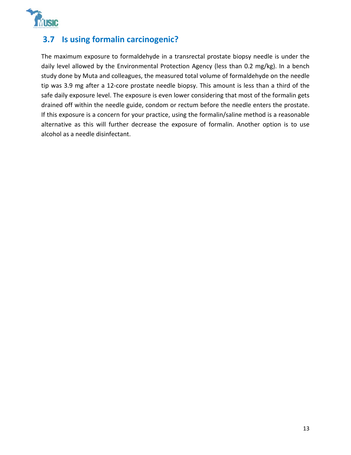

### **3.7 Is using formalin carcinogenic?**

The maximum exposure to formaldehyde in a transrectal prostate biopsy needle is under the daily level allowed by the Environmental Protection Agency (less than 0.2 mg/kg). In a bench study done by Muta and colleagues, the measured total volume of formaldehyde on the needle tip was 3.9 mg after a 12-core prostate needle biopsy. This amount is less than a third of the safe daily exposure level. The exposure is even lower considering that most of the formalin gets drained off within the needle guide, condom or rectum before the needle enters the prostate. If this exposure is a concern for your practice, using the formalin/saline method is a reasonable alternative as this will further decrease the exposure of formalin. Another option is to use alcohol as a needle disinfectant.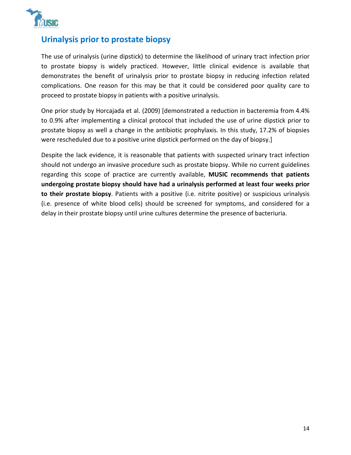

### **Urinalysis prior to prostate biopsy**

The use of urinalysis (urine dipstick) to determine the likelihood of urinary tract infection prior to prostate biopsy is widely practiced. However, little clinical evidence is available that demonstrates the benefit of urinalysis prior to prostate biopsy in reducing infection related complications. One reason for this may be that it could be considered poor quality care to proceed to prostate biopsy in patients with a positive urinalysis.

One prior study by Horcajada et al. (2009) [demonstrated a reduction in bacteremia from 4.4% to 0.9% after implementing a clinical protocol that included the use of urine dipstick prior to prostate biopsy as well a change in the antibiotic prophylaxis. In this study, 17.2% of biopsies were rescheduled due to a positive urine dipstick performed on the day of biopsy.]

Despite the lack evidence, it is reasonable that patients with suspected urinary tract infection should not undergo an invasive procedure such as prostate biopsy. While no current guidelines regarding this scope of practice are currently available, **MUSIC recommends that patients undergoing prostate biopsy should have had a urinalysis performed at least four weeks prior to their prostate biopsy**. Patients with a positive (i.e. nitrite positive) or suspicious urinalysis (i.e. presence of white blood cells) should be screened for symptoms, and considered for a delay in their prostate biopsy until urine cultures determine the presence of bacteriuria.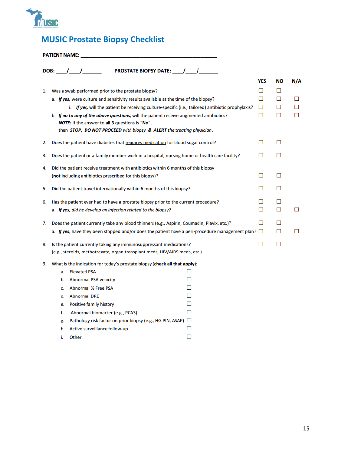

## **MUSIC Prostate Biopsy Checklist**

|    |    | <b>PROSTATE BIOPSY DATE: ____/____/__________</b>                                                          |        |        |    |     |
|----|----|------------------------------------------------------------------------------------------------------------|--------|--------|----|-----|
|    |    |                                                                                                            |        | YES    | ΝO | N/A |
| 1. |    | Was a swab performed prior to the prostate biopsy?                                                         |        | □      | П  |     |
|    |    | a. If yes, were culture and sensitivity results available at the time of the biopsy?                       |        | □      | □  | □   |
|    |    | i. If yes, will the patient be receiving culture-specific (i.e., tailored) antibiotic prophylaxis?         |        | $\Box$ | П  | П   |
|    |    | b. If no to any of the above questions, will the patient receive augmented antibiotics?                    |        | □      | □  | п   |
|    |    | NOTE: If the answer to all 3 questions is "No",                                                            |        |        |    |     |
|    |    | then STOP, DO NOT PROCEED with biopsy & ALERT the treating physician.                                      |        |        |    |     |
| 2. |    | Does the patient have diabetes that requires medication for blood sugar control?                           |        | П      | П  |     |
| 3. |    | Does the patient or a family member work in a hospital, nursing home or health care facility?              |        | П      | П  |     |
| 4. |    | Did the patient receive treatment with antibiotics within 6 months of this biopsy                          |        |        |    |     |
|    |    | (not including antibiotics prescribed for this biopsy)?                                                    |        | П      | П  |     |
| 5. |    | Did the patient travel internationally within 6 months of this biopsy?                                     |        | ⊓      | П  |     |
| 6. |    | Has the patient ever had to have a prostate biopsy prior to the current procedure?                         |        | П      | П  |     |
|    |    | a. If yes, did he develop an infection related to the biopsy?                                              |        | П      | П  | □   |
| 7. |    | Does the patient currently take any blood thinners (e.g., Aspirin, Coumadin, Plavix, etc.)?                |        | П      | П  |     |
|    |    | a. If yes, have they been stopped and/or does the patient have a peri-procedure management plan? $\square$ |        |        | П  | □   |
| 8. |    | Is the patient currently taking any immunosuppressant medications?                                         |        | □      | П  |     |
|    |    | (e.g., steroids, methotrexate, organ transplant meds, HIV/AIDS meds, etc.)                                 |        |        |    |     |
| 9. |    | What is the indication for today's prostate biopsy (check all that apply):                                 |        |        |    |     |
|    | a. | <b>Elevated PSA</b>                                                                                        | П      |        |    |     |
|    | b. | <b>Abnormal PSA velocity</b>                                                                               | П      |        |    |     |
|    | c. | <b>Abnormal % Free PSA</b>                                                                                 | П      |        |    |     |
|    | d. | <b>Abnormal DRE</b>                                                                                        | П      |        |    |     |
|    | e. | Positive family history                                                                                    | □      |        |    |     |
|    | f. | Abnormal biomarker (e.g., PCA3)                                                                            | П      |        |    |     |
|    | g. | Pathology risk factor on prior biopsy (e.g., HG PIN, ASAP) $\Box$                                          |        |        |    |     |
|    | h. | Active surveillance follow-up                                                                              | □      |        |    |     |
|    | i. | Other                                                                                                      | $\Box$ |        |    |     |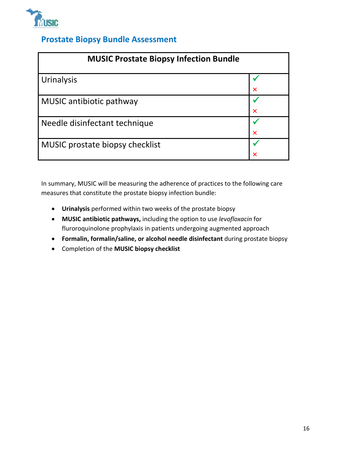

### **Prostate Biopsy Bundle Assessment**

| <b>MUSIC Prostate Biopsy Infection Bundle</b> |                           |  |
|-----------------------------------------------|---------------------------|--|
| Urinalysis                                    |                           |  |
|                                               | $\times$                  |  |
| MUSIC antibiotic pathway                      |                           |  |
|                                               | $\boldsymbol{\mathsf{x}}$ |  |
| Needle disinfectant technique                 |                           |  |
|                                               | $\overline{\mathsf{x}}$   |  |
| MUSIC prostate biopsy checklist               |                           |  |
|                                               |                           |  |

In summary, MUSIC will be measuring the adherence of practices to the following care measures that constitute the prostate biopsy infection bundle:

- **Urinalysis** performed within two weeks of the prostate biopsy
- **MUSIC antibiotic pathways,** including the option to use *levofloxacin* for fluroroquinolone prophylaxis in patients undergoing augmented approach
- **Formalin, formalin/saline, or alcohol needle disinfectant** during prostate biopsy
- Completion of the **MUSIC biopsy checklist**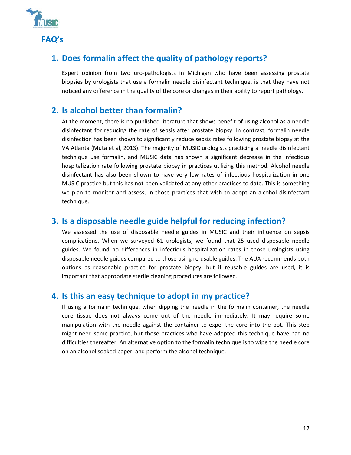

## **1. Does formalin affect the quality of pathology reports?**

Expert opinion from two uro-pathologists in Michigan who have been assessing prostate biopsies by urologists that use a formalin needle disinfectant technique, is that they have not noticed any difference in the quality of the core or changes in their ability to report pathology.

#### **2. Is alcohol better than formalin?**

At the moment, there is no published literature that shows benefit of using alcohol as a needle disinfectant for reducing the rate of sepsis after prostate biopsy. In contrast, formalin needle disinfection has been shown to significantly reduce sepsis rates following prostate biopsy at the VA Atlanta (Muta et al, 2013). The majority of MUSIC urologists practicing a needle disinfectant technique use formalin, and MUSIC data has shown a significant decrease in the infectious hospitalization rate following prostate biopsy in practices utilizing this method. Alcohol needle disinfectant has also been shown to have very low rates of infectious hospitalization in one MUSIC practice but this has not been validated at any other practices to date. This is something we plan to monitor and assess, in those practices that wish to adopt an alcohol disinfectant technique.

#### **3. Is a disposable needle guide helpful for reducing infection?**

We assessed the use of disposable needle guides in MUSIC and their influence on sepsis complications. When we surveyed 61 urologists, we found that 25 used disposable needle guides. We found no differences in infectious hospitalization rates in those urologists using disposable needle guides compared to those using re-usable guides. The AUA recommends both options as reasonable practice for prostate biopsy, but if reusable guides are used, it is important that appropriate sterile cleaning procedures are followed.

#### **4. Is this an easy technique to adopt in my practice?**

If using a formalin technique, when dipping the needle in the formalin container, the needle core tissue does not always come out of the needle immediately. It may require some manipulation with the needle against the container to expel the core into the pot. This step might need some practice, but those practices who have adopted this technique have had no difficulties thereafter. An alternative option to the formalin technique is to wipe the needle core on an alcohol soaked paper, and perform the alcohol technique.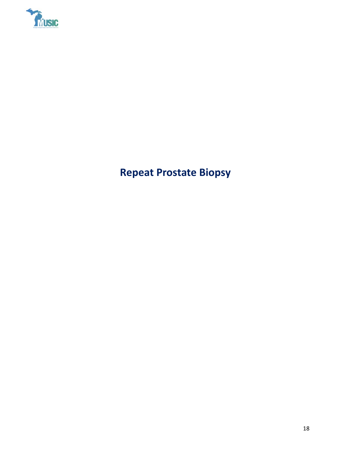

**Repeat Prostate Biopsy**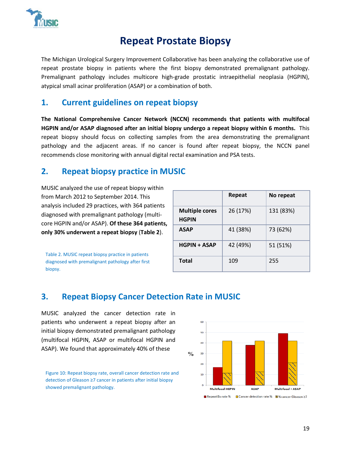

# **Repeat Prostate Biopsy**

The Michigan Urological Surgery Improvement Collaborative has been analyzing the collaborative use of repeat prostate biopsy in patients where the first biopsy demonstrated premalignant pathology. Premalignant pathology includes multicore high-grade prostatic intraepithelial neoplasia (HGPIN), atypical small acinar proliferation (ASAP) or a combination of both.

#### **1. Current guidelines on repeat biopsy**

**The National Comprehensive Cancer Network (NCCN) recommends that patients with multifocal HGPIN and/or ASAP diagnosed after an initial biopsy undergo a repeat biopsy within 6 months.** This repeat biopsy should focus on collecting samples from the area demonstrating the premalignant pathology and the adjacent areas. If no cancer is found after repeat biopsy, the NCCN panel recommends close monitoring with annual digital rectal examination and PSA tests.

#### **2. Repeat biopsy practice in MUSIC**

MUSIC analyzed the use of repeat biopsy within from March 2012 to September 2014. This analysis included 29 practices, with 364 patients diagnosed with premalignant pathology (multicore HGPIN and/or ASAP). **Of these 364 patients, only 30% underwent a repeat biopsy** (**Table 2**).

Table 2. MUSIC repeat biopsy practice in patients diagnosed with premalignant pathology after first biopsy.

|                                       | Repeat   | No repeat |
|---------------------------------------|----------|-----------|
| <b>Multiple cores</b><br><b>HGPIN</b> | 26 (17%) | 131 (83%) |
| <b>ASAP</b>                           | 41 (38%) | 73 (62%)  |
| <b>HGPIN + ASAP</b>                   | 42 (49%) | 51 (51%)  |
| <b>Total</b>                          | 109      | 255       |

### **3. Repeat Biopsy Cancer Detection Rate in MUSIC**

MUSIC analyzed the cancer detection rate in patients who underwent a repeat biopsy after an initial biopsy demonstrated premalignant pathology (multifocal HGPIN, ASAP or multifocal HGPIN and ASAP). We found that approximately 40% of these

Figure 10: Repeat biopsy rate, overall cancer detection rate and detection of Gleason ≥7 cancer in patients after initial biopsy showed premalignant pathology.

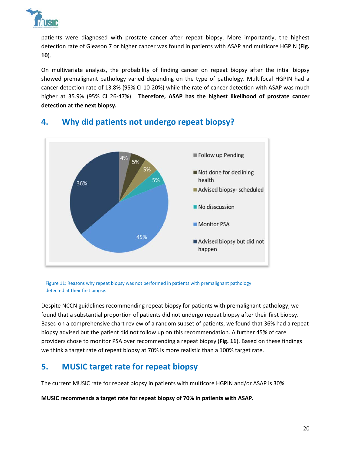

patients were diagnosed with prostate cancer after repeat biopsy. More importantly, the highest detection rate of Gleason 7 or higher cancer was found in patients with ASAP and multicore HGPIN (**Fig. 10**).

On multivariate analysis, the probability of finding cancer on repeat biopsy after the intial biopsy showed premalignant pathology varied depending on the type of pathology. Multifocal HGPIN had a cancer detection rate of 13.8% (95% CI 10-20%) while the rate of cancer detection with ASAP was much higher at 35.9% (95% CI 26-47%). **Therefore, ASAP has the highest likelihood of prostate cancer detection at the next biopsy.**



## **4. Why did patients not undergo repeat biopsy?**

Figure 11: Reasons why repeat biopsy was not performed in patients with premalignant pathology detected at their first biopsy.

Despite NCCN guidelines recommending repeat biopsy for patients with premalignant pathology, we found that a substantial proportion of patients did not undergo repeat biopsy after their first biopsy. Based on a comprehensive chart review of a random subset of patients, we found that 36% had a repeat biopsy advised but the patient did not follow up on this recommendation. A further 45% of care providers chose to monitor PSA over recommending a repeat biopsy (**Fig. 11**). Based on these findings we think a target rate of repeat biopsy at 70% is more realistic than a 100% target rate.

## **5. MUSIC target rate for repeat biopsy**

The current MUSIC rate for repeat biopsy in patients with multicore HGPIN and/or ASAP is 30%.

#### **MUSIC recommends a target rate for repeat biopsy of 70% in patients with ASAP.**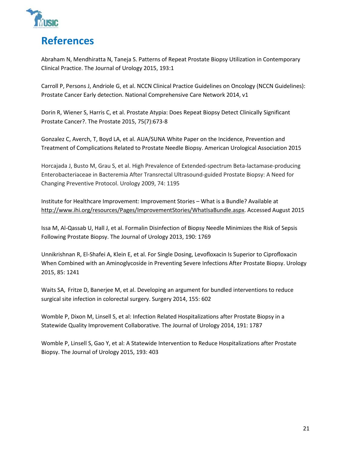

# **References**

Abraham N, Mendhiratta N, Taneja S. Patterns of Repeat Prostate Biopsy Utilization in Contemporary Clinical Practice. The Journal of Urology 2015, 193:1

Carroll P, Persons J, Andriole G, et al. NCCN Clinical Practice Guidelines on Oncology (NCCN Guidelines): Prostate Cancer Early detection. National Comprehensive Care Network 2014, v1

Dorin R, Wiener S, Harris C, et al. Prostate Atypia: Does Repeat Biopsy Detect Clinically Significant Prostate Cancer?. The Prostate 2015, 75(7):673-8

Gonzalez C, Averch, T, Boyd LA, et al. AUA/SUNA White Paper on the Incidence, Prevention and Treatment of Complications Related to Prostate Needle Biopsy. American Urological Association 2015

Horcajada J, Busto M, Grau S, et al. High Prevalence of Extended-spectrum Beta-lactamase-producing Enterobacteriaceae in Bacteremia After Transrectal Ultrasound-guided Prostate Biopsy: A Need for Changing Preventive Protocol. Urology 2009, 74: 1195

Institute for Healthcare Improvement: Improvement Stories – What is a Bundle? Available at http://www.ihi.org/resources/Pages/ImprovementStories/WhatIsaBundle.aspx. Accessed August 2015

Issa M, Al-Qassab U, Hall J, et al. Formalin Disinfection of Biopsy Needle Minimizes the Risk of Sepsis Following Prostate Biopsy. The Journal of Urology 2013, 190: 1769

Unnikrishnan R, El-Shafei A, Klein E, et al. For Single Dosing, Levofloxacin Is Superior to Ciprofloxacin When Combined with an Aminoglycoside in Preventing Severe Infections After Prostate Biopsy. Urology 2015, 85: 1241

Waits SA, Fritze D, Banerjee M, et al. Developing an argument for bundled interventions to reduce surgical site infection in colorectal surgery. Surgery 2014, 155: 602

Womble P, Dixon M, Linsell S, et al: Infection Related Hospitalizations after Prostate Biopsy in a Statewide Quality Improvement Collaborative. The Journal of Urology 2014, 191: 1787

Womble P, Linsell S, Gao Y, et al: A Statewide Intervention to Reduce Hospitalizations after Prostate Biopsy. The Journal of Urology 2015, 193: 403